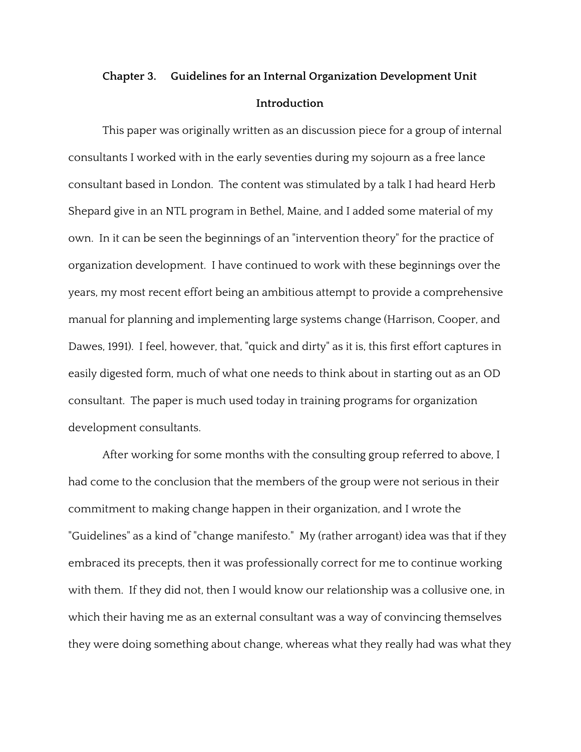## **Chapter 3. Guidelines for an Internal Organization Development Unit Introduction**

This paper was originally written as an discussion piece for a group of internal consultants I worked with in the early seventies during my sojourn as a free lance consultant based in London. The content was stimulated by a talk I had heard Herb Shepard give in an NTL program in Bethel, Maine, and I added some material of my own. In it can be seen the beginnings of an "intervention theory" for the practice of organization development. I have continued to work with these beginnings over the years, my most recent effort being an ambitious attempt to provide a comprehensive manual for planning and implementing large systems change (Harrison, Cooper, and Dawes, 1991). I feel, however, that, "quick and dirty" as it is, this first effort captures in easily digested form, much of what one needs to think about in starting out as an OD consultant. The paper is much used today in training programs for organization development consultants.

After working for some months with the consulting group referred to above, I had come to the conclusion that the members of the group were not serious in their commitment to making change happen in their organization, and I wrote the "Guidelines" as a kind of "change manifesto." My (rather arrogant) idea was that if they embraced its precepts, then it was professionally correct for me to continue working with them. If they did not, then I would know our relationship was a collusive one, in which their having me as an external consultant was a way of convincing themselves they were doing something about change, whereas what they really had was what they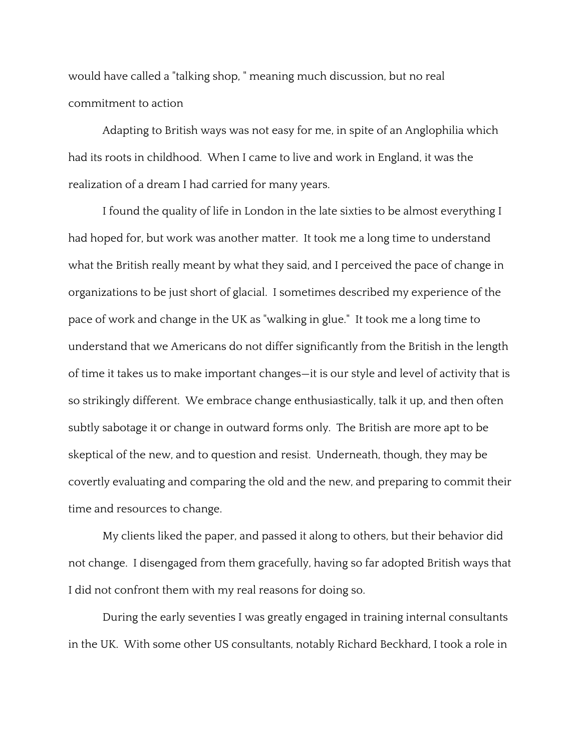would have called a "talking shop, " meaning much discussion, but no real commitment to action

Adapting to British ways was not easy for me, in spite of an Anglophilia which had its roots in childhood. When I came to live and work in England, it was the realization of a dream I had carried for many years.

I found the quality of life in London in the late sixties to be almost everything I had hoped for, but work was another matter. It took me a long time to understand what the British really meant by what they said, and I perceived the pace of change in organizations to be just short of glacial. I sometimes described my experience of the pace of work and change in the UK as "walking in glue." It took me a long time to understand that we Americans do not differ significantly from the British in the length of time it takes us to make important changes—it is our style and level of activity that is so strikingly different. We embrace change enthusiastically, talk it up, and then often subtly sabotage it or change in outward forms only. The British are more apt to be skeptical of the new, and to question and resist. Underneath, though, they may be covertly evaluating and comparing the old and the new, and preparing to commit their time and resources to change.

My clients liked the paper, and passed it along to others, but their behavior did not change. I disengaged from them gracefully, having so far adopted British ways that I did not confront them with my real reasons for doing so.

During the early seventies I was greatly engaged in training internal consultants in the UK. With some other US consultants, notably Richard Beckhard, I took a role in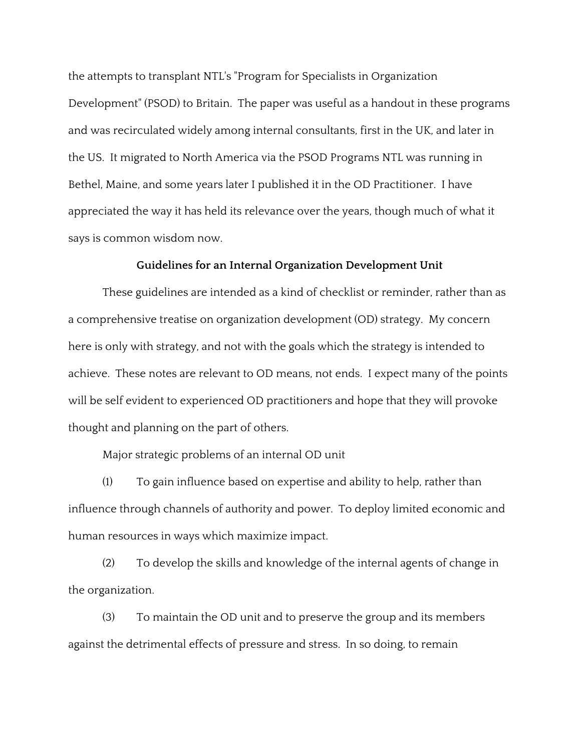the attempts to transplant NTL's "Program for Specialists in Organization Development" (PSOD) to Britain. The paper was useful as a handout in these programs and was recirculated widely among internal consultants, first in the UK, and later in the US. It migrated to North America via the PSOD Programs NTL was running in Bethel, Maine, and some years later I published it in the OD Practitioner. I have appreciated the way it has held its relevance over the years, though much of what it says is common wisdom now.

## **Guidelines for an Internal Organization Development Unit**

These guidelines are intended as a kind of checklist or reminder, rather than as a comprehensive treatise on organization development (OD) strategy. My concern here is only with strategy, and not with the goals which the strategy is intended to achieve. These notes are relevant to OD means, not ends. I expect many of the points will be self evident to experienced OD practitioners and hope that they will provoke thought and planning on the part of others.

Major strategic problems of an internal OD unit

(1) To gain influence based on expertise and ability to help, rather than influence through channels of authority and power. To deploy limited economic and human resources in ways which maximize impact.

(2) To develop the skills and knowledge of the internal agents of change in the organization.

(3) To maintain the OD unit and to preserve the group and its members against the detrimental effects of pressure and stress. In so doing, to remain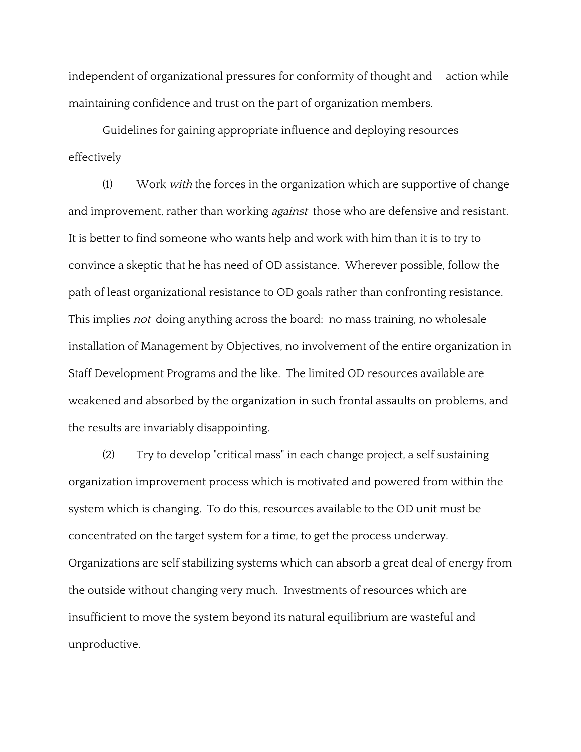independent of organizational pressures for conformity of thought and action while maintaining confidence and trust on the part of organization members.

Guidelines for gaining appropriate influence and deploying resources effectively

(1) Work with the forces in the organization which are supportive of change and improvement, rather than working *against* those who are defensive and resistant. It is better to find someone who wants help and work with him than it is to try to convince a skeptic that he has need of OD assistance. Wherever possible, follow the path of least organizational resistance to OD goals rather than confronting resistance. This implies *not* doing anything across the board: no mass training, no wholesale installation of Management by Objectives, no involvement of the entire organization in Staff Development Programs and the like. The limited OD resources available are weakened and absorbed by the organization in such frontal assaults on problems, and the results are invariably disappointing.

(2) Try to develop "critical mass" in each change project, a self sustaining organization improvement process which is motivated and powered from within the system which is changing. To do this, resources available to the OD unit must be concentrated on the target system for a time, to get the process underway. Organizations are self stabilizing systems which can absorb a great deal of energy from the outside without changing very much. Investments of resources which are insufficient to move the system beyond its natural equilibrium are wasteful and unproductive.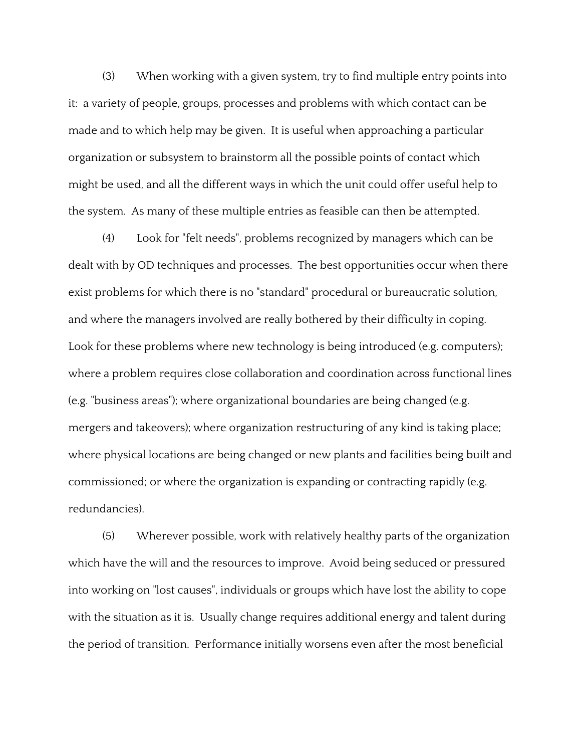(3) When working with a given system, try to find multiple entry points into it: a variety of people, groups, processes and problems with which contact can be made and to which help may be given. It is useful when approaching a particular organization or subsystem to brainstorm all the possible points of contact which might be used, and all the different ways in which the unit could offer useful help to the system. As many of these multiple entries as feasible can then be attempted.

(4) Look for "felt needs", problems recognized by managers which can be dealt with by OD techniques and processes. The best opportunities occur when there exist problems for which there is no "standard" procedural or bureaucratic solution, and where the managers involved are really bothered by their difficulty in coping. Look for these problems where new technology is being introduced (e.g. computers); where a problem requires close collaboration and coordination across functional lines (e.g. "business areas"); where organizational boundaries are being changed (e.g. mergers and takeovers); where organization restructuring of any kind is taking place; where physical locations are being changed or new plants and facilities being built and commissioned; or where the organization is expanding or contracting rapidly (e.g. redundancies).

(5) Wherever possible, work with relatively healthy parts of the organization which have the will and the resources to improve. Avoid being seduced or pressured into working on "lost causes", individuals or groups which have lost the ability to cope with the situation as it is. Usually change requires additional energy and talent during the period of transition. Performance initially worsens even after the most beneficial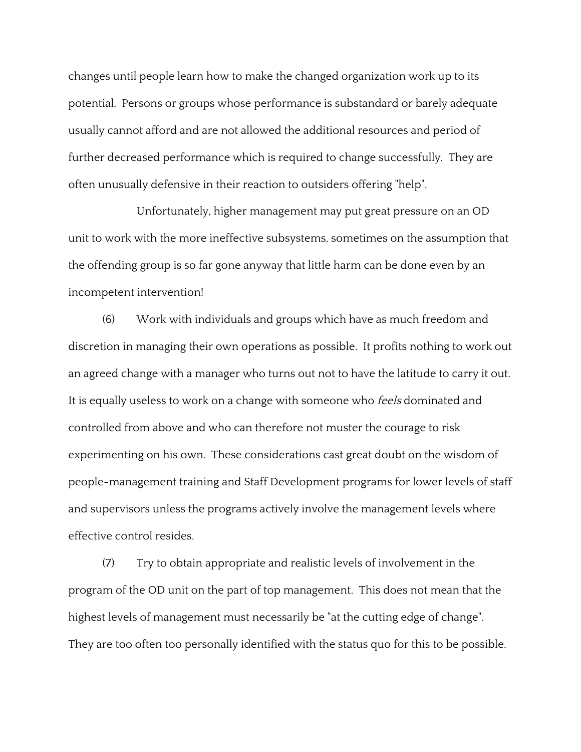changes until people learn how to make the changed organization work up to its potential. Persons or groups whose performance is substandard or barely adequate usually cannot afford and are not allowed the additional resources and period of further decreased performance which is required to change successfully. They are often unusually defensive in their reaction to outsiders offering "help".

Unfortunately, higher management may put great pressure on an OD unit to work with the more ineffective subsystems, sometimes on the assumption that the offending group is so far gone anyway that little harm can be done even by an incompetent intervention!

(6) Work with individuals and groups which have as much freedom and discretion in managing their own operations as possible. It profits nothing to work out an agreed change with a manager who turns out not to have the latitude to carry it out. It is equally useless to work on a change with someone who *feels* dominated and controlled from above and who can therefore not muster the courage to risk experimenting on his own. These considerations cast great doubt on the wisdom of people-management training and Staff Development programs for lower levels of staff and supervisors unless the programs actively involve the management levels where effective control resides.

(7) Try to obtain appropriate and realistic levels of involvement in the program of the OD unit on the part of top management. This does not mean that the highest levels of management must necessarily be "at the cutting edge of change". They are too often too personally identified with the status quo for this to be possible.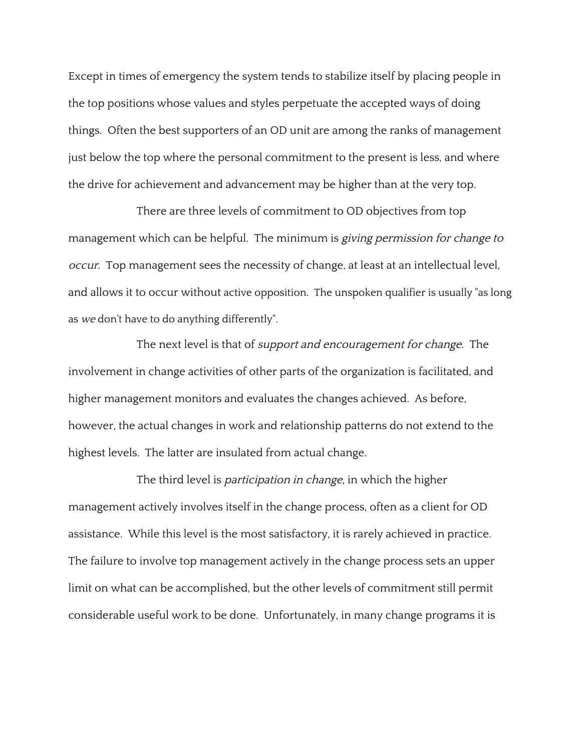Except in times of emergency the system tends to stabilize itself by placing people in the top positions whose values and styles perpetuate the accepted ways of doing things. Often the best supporters of an OD unit are among the ranks of management just below the top where the personal commitment to the present is less, and where the drive for achievement and advancement may be higher than at the very top.

There are three levels of commitment to OD objectives from top management which can be helpful. The minimum is giving permission for change to occur. Top management sees the necessity of change, at least at an intellectual level, and allows it to occur without active opposition. The unspoken qualifier is usually "as long as we don't have to do anything differently".

The next level is that of *support and encouragement for change*. The involvement in change activities of other parts of the organization is facilitated, and higher management monitors and evaluates the changes achieved. As before, however, the actual changes in work and relationship patterns do not extend to the highest levels. The latter are insulated from actual change.

The third level is *participation in change*, in which the higher management actively involves itself in the change process, often as a client for OD assistance. While this level is the most satisfactory, it is rarely achieved in practice. The failure to involve top management actively in the change process sets an upper limit on what can be accomplished, but the other levels of commitment still permit considerable useful work to be done. Unfortunately, in many change programs it is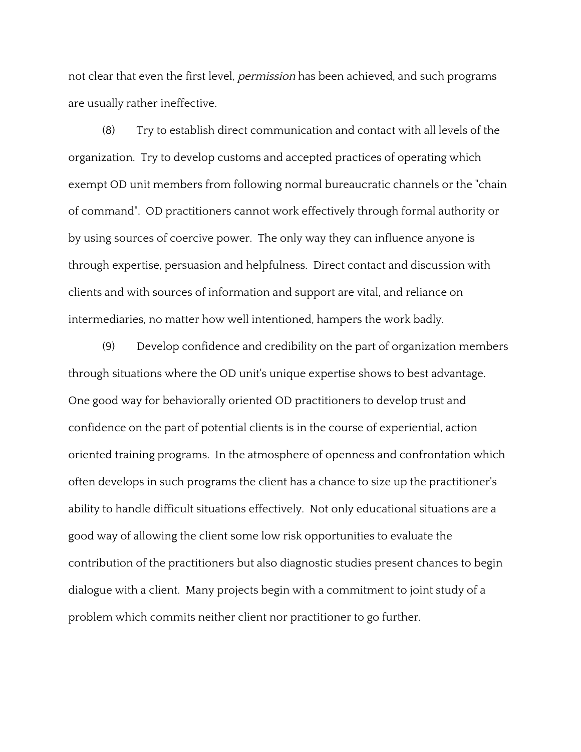not clear that even the first level, *permission* has been achieved, and such programs are usually rather ineffective.

(8) Try to establish direct communication and contact with all levels of the organization. Try to develop customs and accepted practices of operating which exempt OD unit members from following normal bureaucratic channels or the "chain of command". OD practitioners cannot work effectively through formal authority or by using sources of coercive power. The only way they can influence anyone is through expertise, persuasion and helpfulness. Direct contact and discussion with clients and with sources of information and support are vital, and reliance on intermediaries, no matter how well intentioned, hampers the work badly.

(9) Develop confidence and credibility on the part of organization members through situations where the OD unit's unique expertise shows to best advantage. One good way for behaviorally oriented OD practitioners to develop trust and confidence on the part of potential clients is in the course of experiential, action oriented training programs. In the atmosphere of openness and confrontation which often develops in such programs the client has a chance to size up the practitioner's ability to handle difficult situations effectively. Not only educational situations are a good way of allowing the client some low risk opportunities to evaluate the contribution of the practitioners but also diagnostic studies present chances to begin dialogue with a client. Many projects begin with a commitment to joint study of a problem which commits neither client nor practitioner to go further.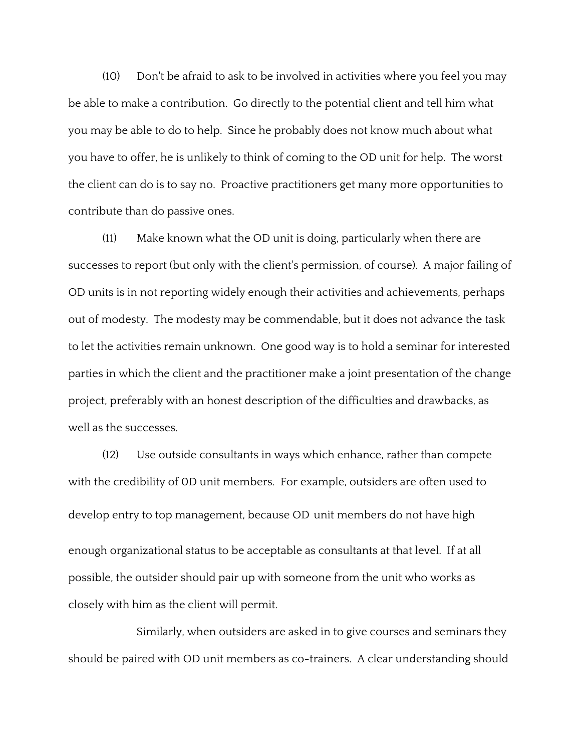(10) Don't be afraid to ask to be involved in activities where you feel you may be able to make a contribution. Go directly to the potential client and tell him what you may be able to do to help. Since he probably does not know much about what you have to offer, he is unlikely to think of coming to the OD unit for help. The worst the client can do is to say no. Proactive practitioners get many more opportunities to contribute than do passive ones.

(11) Make known what the OD unit is doing, particularly when there are successes to report (but only with the client's permission, of course). A major failing of OD units is in not reporting widely enough their activities and achievements, perhaps out of modesty. The modesty may be commendable, but it does not advance the task to let the activities remain unknown. One good way is to hold a seminar for interested parties in which the client and the practitioner make a joint presentation of the change project, preferably with an honest description of the difficulties and drawbacks, as well as the successes.

(12) Use outside consultants in ways which enhance, rather than compete with the credibility of 0D unit members. For example, outsiders are often used to develop entry to top management, because OD unit members do not have high enough organizational status to be acceptable as consultants at that level. If at all possible, the outsider should pair up with someone from the unit who works as closely with him as the client will permit.

Similarly, when outsiders are asked in to give courses and seminars they should be paired with OD unit members as co-trainers. A clear understanding should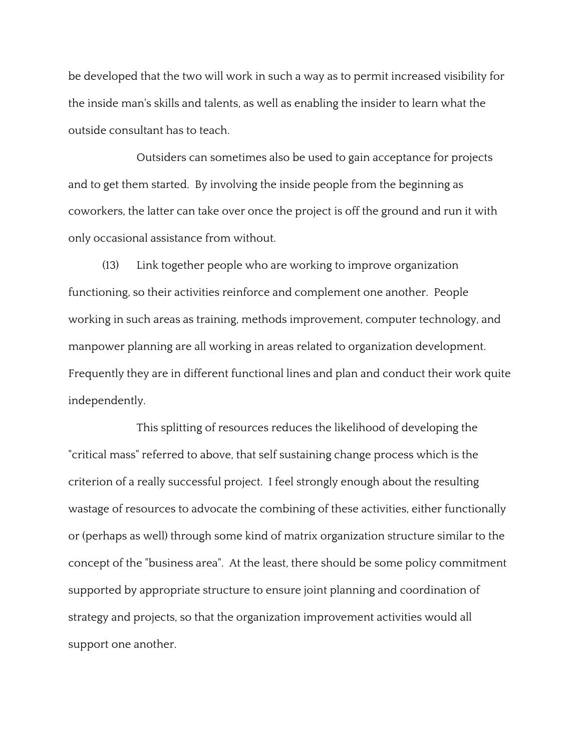be developed that the two will work in such a way as to permit increased visibility for the inside man's skills and talents, as well as enabling the insider to learn what the outside consultant has to teach.

Outsiders can sometimes also be used to gain acceptance for projects and to get them started. By involving the inside people from the beginning as coworkers, the latter can take over once the project is off the ground and run it with only occasional assistance from without.

(13) Link together people who are working to improve organization functioning, so their activities reinforce and complement one another. People working in such areas as training, methods improvement, computer technology, and manpower planning are all working in areas related to organization development. Frequently they are in different functional lines and plan and conduct their work quite independently.

This splitting of resources reduces the likelihood of developing the "critical mass" referred to above, that self sustaining change process which is the criterion of a really successful project. I feel strongly enough about the resulting wastage of resources to advocate the combining of these activities, either functionally or (perhaps as well) through some kind of matrix organization structure similar to the concept of the "business area". At the least, there should be some policy commitment supported by appropriate structure to ensure joint planning and coordination of strategy and projects, so that the organization improvement activities would all support one another.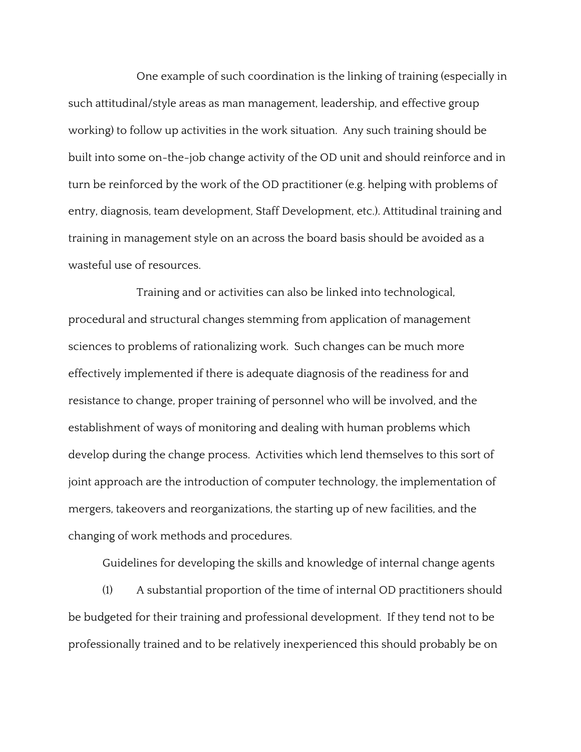One example of such coordination is the linking of training (especially in such attitudinal/style areas as man management, leadership, and effective group working) to follow up activities in the work situation. Any such training should be built into some on-the-job change activity of the OD unit and should reinforce and in turn be reinforced by the work of the OD practitioner (e.g. helping with problems of entry, diagnosis, team development, Staff Development, etc.). Attitudinal training and training in management style on an across the board basis should be avoided as a wasteful use of resources.

Training and or activities can also be linked into technological, procedural and structural changes stemming from application of management sciences to problems of rationalizing work. Such changes can be much more effectively implemented if there is adequate diagnosis of the readiness for and resistance to change, proper training of personnel who will be involved, and the establishment of ways of monitoring and dealing with human problems which develop during the change process. Activities which lend themselves to this sort of joint approach are the introduction of computer technology, the implementation of mergers, takeovers and reorganizations, the starting up of new facilities, and the changing of work methods and procedures.

Guidelines for developing the skills and knowledge of internal change agents

(1) A substantial proportion of the time of internal OD practitioners should be budgeted for their training and professional development. If they tend not to be professionally trained and to be relatively inexperienced this should probably be on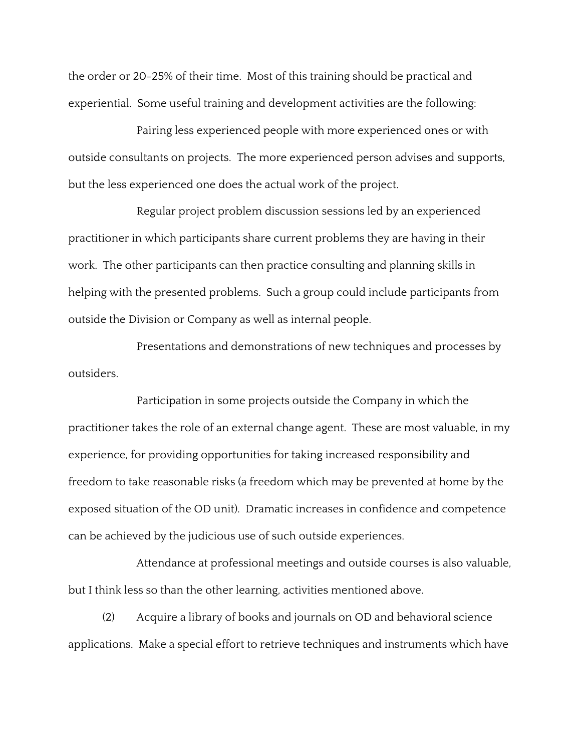the order or 20-25% of their time. Most of this training should be practical and experiential. Some useful training and development activities are the following:

Pairing less experienced people with more experienced ones or with outside consultants on projects. The more experienced person advises and supports, but the less experienced one does the actual work of the project.

Regular project problem discussion sessions led by an experienced practitioner in which participants share current problems they are having in their work. The other participants can then practice consulting and planning skills in helping with the presented problems. Such a group could include participants from outside the Division or Company as well as internal people.

Presentations and demonstrations of new techniques and processes by outsiders.

Participation in some projects outside the Company in which the practitioner takes the role of an external change agent. These are most valuable, in my experience, for providing opportunities for taking increased responsibility and freedom to take reasonable risks (a freedom which may be prevented at home by the exposed situation of the OD unit). Dramatic increases in confidence and competence can be achieved by the judicious use of such outside experiences.

Attendance at professional meetings and outside courses is also valuable, but I think less so than the other learning, activities mentioned above.

(2) Acquire a library of books and journals on OD and behavioral science applications. Make a special effort to retrieve techniques and instruments which have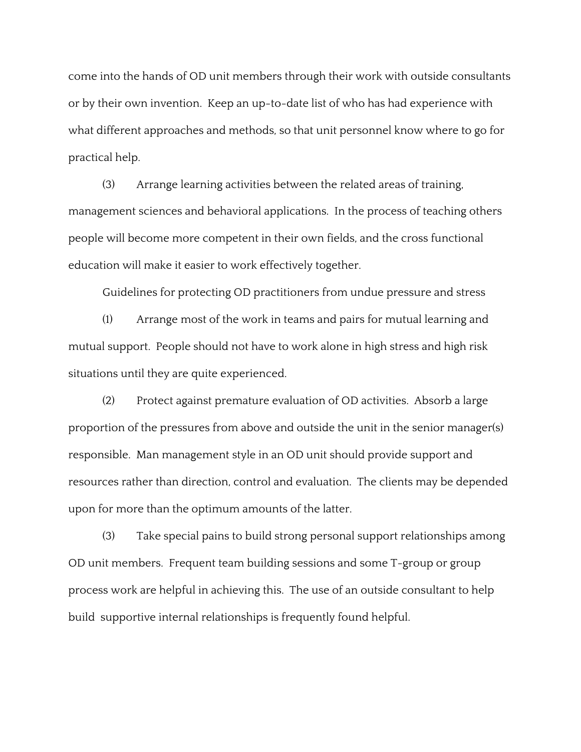come into the hands of OD unit members through their work with outside consultants or by their own invention. Keep an up-to-date list of who has had experience with what different approaches and methods, so that unit personnel know where to go for practical help.

(3) Arrange learning activities between the related areas of training, management sciences and behavioral applications. In the process of teaching others people will become more competent in their own fields, and the cross functional education will make it easier to work effectively together.

Guidelines for protecting OD practitioners from undue pressure and stress

(1) Arrange most of the work in teams and pairs for mutual learning and mutual support. People should not have to work alone in high stress and high risk situations until they are quite experienced.

(2) Protect against premature evaluation of OD activities. Absorb a large proportion of the pressures from above and outside the unit in the senior manager(s) responsible. Man management style in an OD unit should provide support and resources rather than direction, control and evaluation. The clients may be depended upon for more than the optimum amounts of the latter.

(3) Take special pains to build strong personal support relationships among OD unit members. Frequent team building sessions and some T-group or group process work are helpful in achieving this. The use of an outside consultant to help build supportive internal relationships is frequently found helpful.